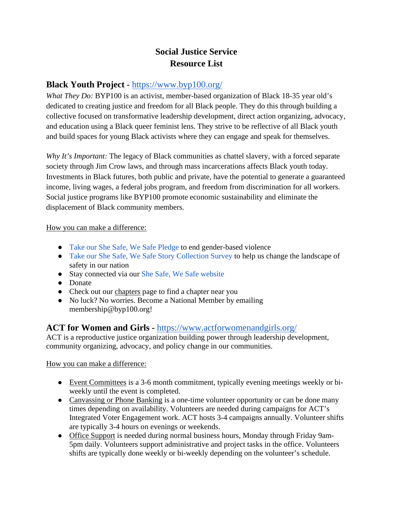# **Social Justice Service Resource List**

# **Black Youth Project** -<https://www.byp100.org/>

*What They Do:* BYP100 is an activist, member-based organization of Black 18-35 year old's dedicated to creating justice and freedom for all Black people. They do this through building a collective focused on transformative leadership development, direct action organizing, advocacy, and education using a Black queer feminist lens. They strive to be reflective of all Black youth and build spaces for young Black activists where they can engage and speak for themselves.

*Why It's Important:* The legacy of Black communities as chattel slavery, with a forced separate society through Jim Crow laws, and through mass incarcerations affects Black youth today. Investments in Black futures, both public and private, have the potential to generate a guaranteed income, living wages, a federal jobs program, and freedom from discrimination for all workers. Social justice programs like BYP100 promote economic sustainability and eliminate the displacement of Black community members.

### How you can make a difference:

- [Take our She Safe, We Safe Pledge](https://actionnetwork.org/petitions/shesafewesafe) to end gender-based violence
- [Take our She Safe, We Safe Story Collection Survey](http://bit.ly/sswssurvey) to help us change the landscape of safety in our nation
- Stay connected via our [She Safe, We Safe website](http://shesafewesafe.org/)
- Donate
- Check out our [chapters](https://www.byp100.org/chapters) page to find a chapter near you
- No luck? No worries. Become a National Member by emailing membership@byp100.org!

## **[ACT for Women and Girls -](https://www.actforwomenandgirls.org/)** <https://www.actforwomenandgirls.org/>

ACT is a reproductive justice organization building power through leadership development, community organizing, advocacy, and policy change in our communities.

- Event Committees is a 3-6 month commitment, typically evening meetings weekly or biweekly until the event is completed.
- Canvassing or Phone Banking is a one-time volunteer opportunity or can be done many times depending on availability. Volunteers are needed during campaigns for ACT's Integrated Voter Engagement work. ACT hosts 3-4 campaigns annually. Volunteer shifts are typically 3-4 hours on evenings or weekends.
- Office Support is needed during normal business hours, Monday through Friday 9am-5pm daily. Volunteers support administrative and project tasks in the office. Volunteers shifts are typically done weekly or bi-weekly depending on the volunteer's schedule.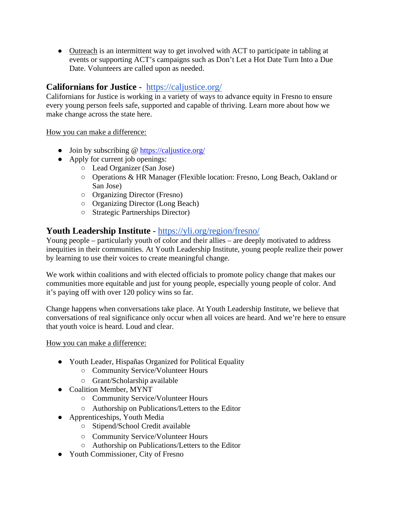• Outreach is an intermittent way to get involved with ACT to participate in tabling at events or supporting ACT's campaigns such as Don't Let a Hot Date Turn Into a Due Date. Volunteers are called upon as needed.

# **Californians for Justice** - <https://caljustice.org/>

Californians for Justice is working in a variety of ways to advance equity in Fresno to ensure every young person feels safe, supported and capable of thriving. Learn more about how we make change across the state [here.](https://caljustice.org/our-story/)

How you can make a difference:

- Join by subscribing @<https://caljustice.org/>
- Apply for current job openings:
	- Lead Organizer (San Jose)
	- Operations & HR Manager (Flexible location: Fresno, Long Beach, Oakland or San Jose)
	- Organizing Director (Fresno)
	- Organizing Director (Long Beach)
	- Strategic Partnerships Director)

## **Youth Leadership Institute** -<https://yli.org/region/fresno/>

Young people – particularly youth of color and their allies – are deeply motivated to address inequities in their communities. At Youth Leadership Institute, young people realize their power by learning to use their voices to create meaningful change.

We work within coalitions and with elected officials to promote policy change that makes our communities more equitable and just for young people, especially young people of color. And it's paying off with over 120 policy wins so far.

Change happens when conversations take place. At Youth Leadership Institute, we believe that conversations of real significance only occur when all voices are heard. And we're here to ensure that youth voice is heard. Loud and clear.

- Youth Leader, Hispañas Organized for Political Equality
	- Community Service/Volunteer Hours
	- Grant/Scholarship available
- Coalition Member, MYNT
	- Community Service/Volunteer Hours
	- Authorship on Publications/Letters to the Edito[r](https://yli.org/youth-opportunity/coalition-member-mynt/)
- Apprenticeships, Youth Media
	- Stipend/School Credit available
	- Community Service/Volunteer Hours
	- Authorship on Publications/Letters to the Edito[r](https://yli.org/youth-opportunity/apprenticeships-youth-media/)
- Youth Commissioner, City of Fresno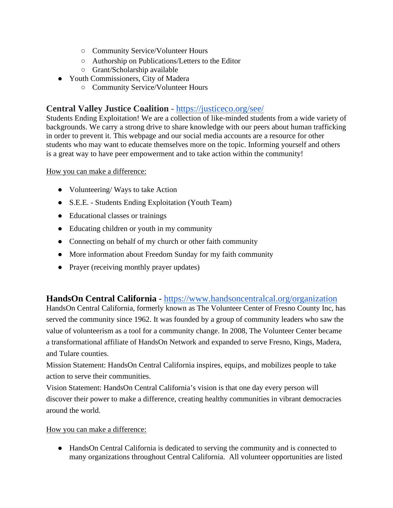- Community Service/Volunteer Hours
- Authorship on Publications/Letters to the Editor
- Grant/Scholarship available
- [Youth Commissioners, City of Madera](https://yli.org/youth-opportunity/madera-youth-commissioners/) 
	- Community Service/Volunteer Hours

# **Central Valley Justice Coalition** -<https://justiceco.org/see/>

Students Ending Exploitation! We are a collection of like-minded students from a wide variety of backgrounds. We carry a strong drive to share knowledge with our peers about human trafficking in order to prevent it. This webpage and our social media accounts are a resource for other students who may want to educate themselves more on the topic. Informing yourself and others is a great way to have peer empowerment and to take action within the community!

How you can make a difference:

- Volunteering/ Ways to take Action
- S.E.E. Students Ending Exploitation (Youth Team)
- Educational classes or trainings
- Educating children or youth in my community
- Connecting on behalf of my church or other faith community
- More information about Freedom Sunday for my faith community
- Prayer (receiving monthly prayer updates)

## **HandsOn Central California** -<https://www.handsoncentralcal.org/organization>

HandsOn Central California, formerly known as The Volunteer Center of Fresno County Inc, has served the community since 1962. It was founded by a group of community leaders who saw the value of volunteerism as a tool for a community change. In 2008, The Volunteer Center became a transformational affiliate of HandsOn Network and expanded to serve Fresno, Kings, Madera, and Tulare counties.

Mission Statement: HandsOn Central California inspires, equips, and mobilizes people to take action to serve their communities.

Vision Statement: HandsOn Central California's vision is that one day every person will discover their power to make a difference, creating healthy communities in vibrant democracies around the world.

### How you can make a difference:

● HandsOn Central California is dedicated to serving the community and is connected to many organizations throughout Central California. All volunteer opportunities are listed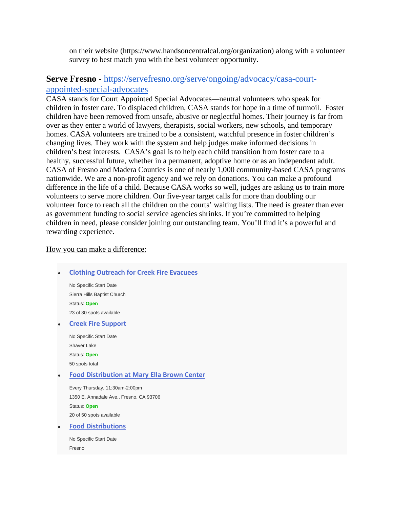on their website (https://www.handsoncentralcal.org/organization) along with a volunteer survey to best match you with the best volunteer opportunity.

## **Serve Fresno** - [https://servefresno.org/serve/ongoing/advocacy/casa-court](https://servefresno.org/serve/ongoing/advocacy/casa-court-appointed-special-advocates)[appointed-special-advocates](https://servefresno.org/serve/ongoing/advocacy/casa-court-appointed-special-advocates)

CASA stands for Court Appointed Special Advocates—neutral volunteers who speak for children in foster care. To displaced children, CASA stands for hope in a time of turmoil. Foster children have been removed from unsafe, abusive or neglectful homes. Their journey is far from over as they enter a world of lawyers, therapists, social workers, new schools, and temporary homes. CASA volunteers are trained to be a consistent, watchful presence in foster children's changing lives. They work with the system and help judges make informed decisions in children's best interests. CASA's goal is to help each child transition from foster care to a healthy, successful future, whether in a permanent, adoptive home or as an independent adult. CASA of Fresno and Madera Counties is one of nearly 1,000 community-based CASA programs nationwide. We are a non-profit agency and we rely on donations. You can make a profound difference in the life of a child. Because CASA works so well, judges are asking us to train more volunteers to serve more children. Our five-year target calls for more than doubling our volunteer force to reach all the children on the courts' waiting lists. The need is greater than ever as government funding to social service agencies shrinks. If you're committed to helping children in need, please consider joining our outstanding team. You'll find it's a powerful and rewarding experience.

| <b>Clothing Outreach for Creek Fire Evacuees</b>   |
|----------------------------------------------------|
| No Specific Start Date                             |
| Sierra Hills Baptist Church                        |
| Status: Open                                       |
| 23 of 30 spots available                           |
| <b>Creek Fire Support</b>                          |
| No Specific Start Date                             |
| Shaver Lake                                        |
| Status: Open                                       |
| 50 spots total                                     |
| <b>Food Distribution at Mary Ella Brown Center</b> |
| Every Thursday, 11:30am-2:00pm                     |
| 1350 E. Annadale Ave., Fresno, CA 93706            |
| Status: Open                                       |
| 20 of 50 spots available                           |
| <b>Food Distributions</b>                          |
| No Specific Start Date                             |
| Fresno                                             |
|                                                    |
|                                                    |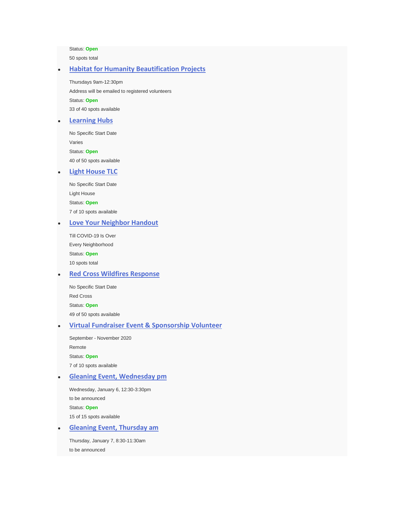Status: **Open**

50 spots total

#### **[Habitat for Humanity Beautification Projects](https://servefresno.org/serve/projects/outreach/habitat-for-humanity-beautification-projects)**

Thursdays 9am-12:30pm Address will be emailed to registered volunteers Status: **Open** 33 of 40 spots available

#### **[Learning Hubs](https://servefresno.org/serve/projects/outreach/learning-hubs)**

No Specific Start Date Varies Status: **Open** 40 of 50 spots available

#### **[Light House TLC](https://servefresno.org/serve/projects/neighborhood-clean-upgardening/light-house-tlc)**

No Specific Start Date Light House Status: **Open** 7 of 10 spots available

#### **[Love Your Neighbor Handout](https://servefresno.org/serve/projects/outreach/love-your-neighbor-handout)**

Till COVID-19 Is Over Every Neighborhood Status: **Open** 10 spots total

#### **[Red Cross Wildfires Response](https://servefresno.org/serve/projects/hands-on/creek-fire-response-red-cross)**

No Specific Start Date Red Cross Status: **Open** 49 of 50 spots available

#### ● **[Virtual Fundraiser Event & Sponsorship Volunteer](https://servefresno.org/serve/projects/outreach/virtual-fundraiser-event-sponsorship-volunteer)**

September - November 2020 Remote Status: **Open** 7 of 10 spots available

#### **[Gleaning Event, Wednesday pm](https://servefresno.org/serve/projects/outreach/gleaning-event-monday-pm)**

Wednesday, January 6, 12:30-3:30pm to be announced Status: **Open** 15 of 15 spots available

**[Gleaning Event, Thursday am](https://servefresno.org/serve/projects/outreach/gleaning-event-thursday-am)** 

Thursday, January 7, 8:30-11:30am to be announced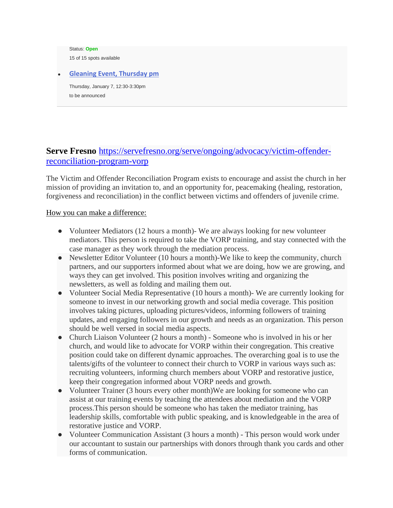Status: **Open** 15 of 15 spots available

**[Gleaning Event, Thursday pm](https://servefresno.org/serve/projects/outreach/gleaning-event-thursday-pm)** 

Thursday, January 7, 12:30-3:30pm to be announced

# **Serve Fresno** [https://servefresno.org/serve/ongoing/advocacy/victim-offender](https://servefresno.org/serve/ongoing/advocacy/victim-offender-reconciliation-program-vorp)[reconciliation-program-vorp](https://servefresno.org/serve/ongoing/advocacy/victim-offender-reconciliation-program-vorp)

The Victim and Offender Reconciliation Program exists to encourage and assist the church in her mission of providing an invitation to, and an opportunity for, peacemaking (healing, restoration, forgiveness and reconciliation) in the conflict between victims and offenders of juvenile crime.

- Volunteer Mediators (12 hours a month)- We are always looking for new volunteer mediators. This person is required to take the VORP training, and stay connected with the case manager as they work through the mediation process.
- Newsletter Editor Volunteer (10 hours a month)-We like to keep the community, church partners, and our supporters informed about what we are doing, how we are growing, and ways they can get involved. This position involves writing and organizing the newsletters, as well as folding and mailing them out.
- Volunteer Social Media Representative (10 hours a month)- We are currently looking for someone to invest in our networking growth and social media coverage. This position involves taking pictures, uploading pictures/videos, informing followers of training updates, and engaging followers in our growth and needs as an organization. This person should be well versed in social media aspects.
- Church Liaison Volunteer (2 hours a month) Someone who is involved in his or her church, and would like to advocate for VORP within their congregation. This creative position could take on different dynamic approaches. The overarching goal is to use the talents/gifts of the volunteer to connect their church to VORP in various ways such as: recruiting volunteers, informing church members about VORP and restorative justice, keep their congregation informed about VORP needs and growth.
- Volunteer Trainer (3 hours every other month)We are looking for someone who can assist at our training events by teaching the attendees about mediation and the VORP process.This person should be someone who has taken the mediator training, has leadership skills, comfortable with public speaking, and is knowledgeable in the area of restorative justice and VORP.
- Volunteer Communication Assistant (3 hours a month) This person would work under our accountant to sustain our partnerships with donors through thank you cards and other forms of communication.